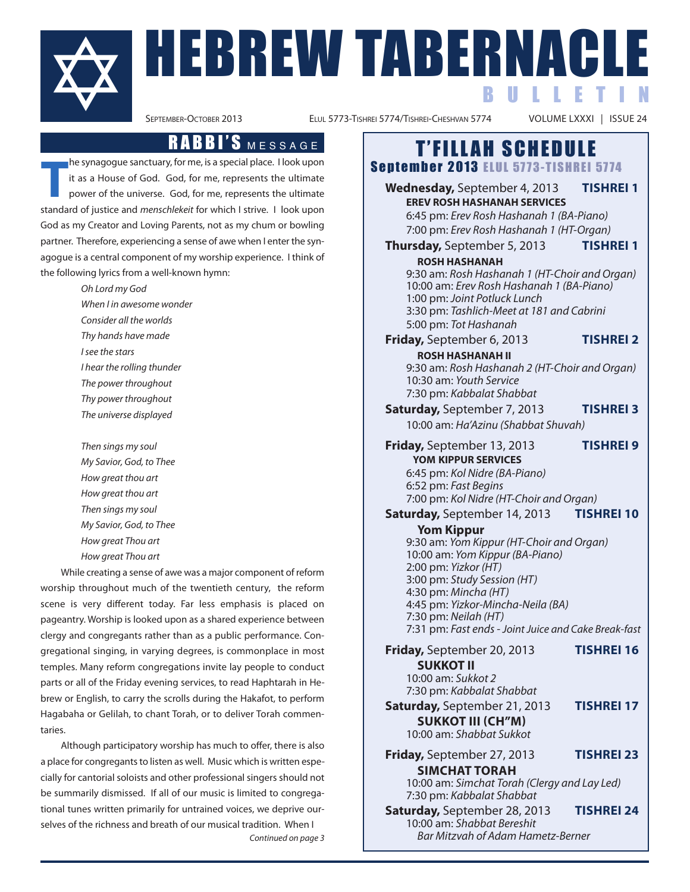# ERNACLE<br>SEPTEMBER-OCTOBER 2013<br>SEPTEMBER-OCTOBER 2013<br>ELUL 5773-TISHREI 5774/TISHREI-CHESHVAN 5774<br>VOLUME LXXXI | ISSUE 24 B U L L E T I N

ELUL 5773-TISHREI 5774/TISHREI-CHESHVAN 5774

**THE STANDARY STANDARY STANDARY STANDARY STANDARY STANDARY STANDARY STANDARY STANDARY STANDARY STANDARY STANDARY STANDARY STANDARY STANDARY STANDARY STANDARY STANDARY STANDARY STANDARY STANDARY STANDARY STANDARY STANDARY S** he synagogue sanctuary, for me, is a special place. I look upon it as a House of God. God, for me, represents the ultimate power of the universe. God, for me, represents the ultimate God as my Creator and Loving Parents, not as my chum or bowling partner. Therefore, experiencing a sense of awe when I enter the synagogue is a central component of my worship experience. I think of the following lyrics from a well-known hymn:

> Oh Lord my God When I in awesome wonder Consider all the worlds Thy hands have made I see the stars I hear the rolling thunder The power throughout Thy power throughout The universe displayed

Then sings my soul My Savior, God, to Thee How great thou art How great thou art Then sings my soul My Savior, God, to Thee How great Thou art How great Thou art

While creating a sense of awe was a major component of reform worship throughout much of the twentieth century, the reform scene is very different today. Far less emphasis is placed on pageantry. Worship is looked upon as a shared experience between clergy and congregants rather than as a public performance. Congregational singing, in varying degrees, is commonplace in most temples. Many reform congregations invite lay people to conduct parts or all of the Friday evening services, to read Haphtarah in Hebrew or English, to carry the scrolls during the Hakafot, to perform Hagabaha or Gelilah, to chant Torah, or to deliver Torah commentaries.

Although participatory worship has much to offer, there is also a place for congregants to listen as well. Music which is written especially for cantorial soloists and other professional singers should not be summarily dismissed. If all of our music is limited to congregational tunes written primarily for untrained voices, we deprive ourselves of the richness and breath of our musical tradition. When I Continued on page 3

RABBI'S MESSAGE | T'FILLAH SCHEDULE September 2013 ELUL 5773-TISHREI 5774 **Wednesday,** September 4, 2013 **TISHREI 1**

**EREV ROSH HASHANAH SERVICES** 6:45 pm: Erev Rosh Hashanah 1 (BA-Piano) 7:00 pm: Erev Rosh Hashanah 1 (HT-Organ)

**Thursday,** September 5, 2013 **TISHREI 1 ROSH HASHANAH**

9:30 am: Rosh Hashanah 1 (HT-Choir and Organ) 10:00 am: Erev Rosh Hashanah 1 (BA-Piano) 1:00 pm: Joint Potluck Lunch 3:30 pm: Tashlich-Meet at 181 and Cabrini 5:00 pm: Tot Hashanah

**Friday,** September 6, 2013 **TISHREI 2**

### **ROSH HASHANAH II** 9:30 am: Rosh Hashanah 2 (HT-Choir and Organ) 10:30 am: Youth Service 7:30 pm: Kabbalat Shabbat

**Saturday,** September 7, 2013 **TISHREI 3** 10:00 am: Ha'Azinu (Shabbat Shuvah)

### **Friday,** September 13, 2013 **TISHREI 9**

**YOM KIPPUR SERVICES** 6:45 pm: Kol Nidre (BA-Piano) 6:52 pm: Fast Begins 7:00 pm: Kol Nidre (HT-Choir and Organ)

**Saturday,** September 14, 2013 **TISHREI 10**

**Yom Kippur** 9:30 am: Yom Kippur (HT-Choir and Organ) 10:00 am: Yom Kippur (BA-Piano) 2:00 pm: Yizkor (HT) 3:00 pm: Study Session (HT) 4:30 pm: Mincha (HT) 4:45 pm: Yizkor-Mincha-Neila (BA) 7:30 pm: Neilah (HT) 7:31 pm: Fast ends - Joint Juice and Cake Break-fast

**Friday,** September 20, 2013 **TISHREI 16 SUKKOT II** 10:00 am: Sukkot 2 7:30 pm: Kabbalat Shabbat **Saturday,** September 21, 2013 **TISHREI 17 SUKKOT III (CH"M)** 10:00 am: Shabbat Sukkot

**Friday,** September 27, 2013 **TISHREI 23 SIMCHAT TORAH**

10:00 am: Simchat Torah (Clergy and Lay Led) 7:30 pm: Kabbalat Shabbat

**Saturday,** September 28, 2013 **TISHREI 24** 10:00 am: Shabbat Bereshit Bar Mitzvah of Adam Hametz-Berner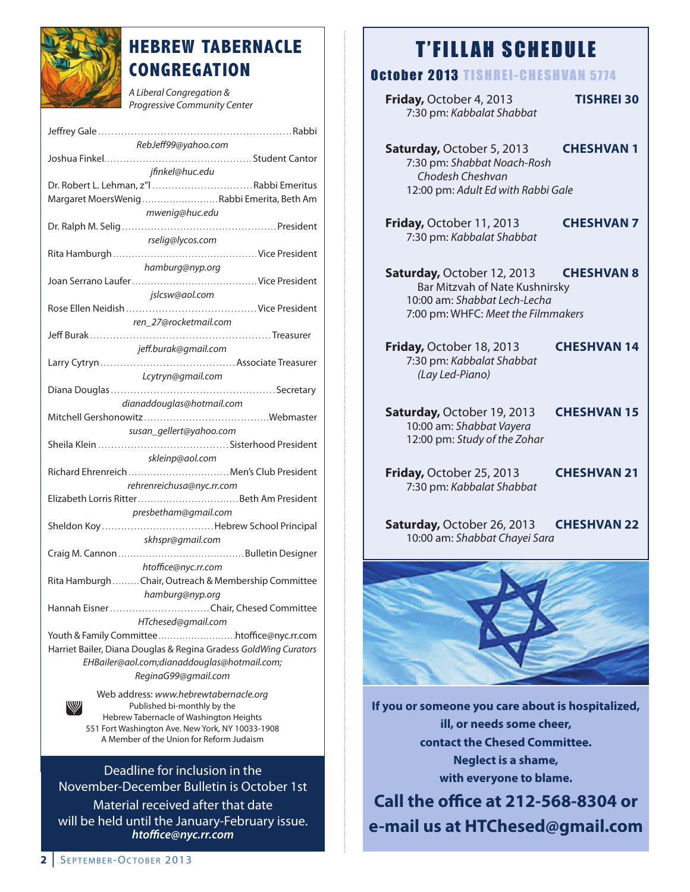

### **HEBREW TABERNACLE CONGREGATION**

A Liberal Congregation & Progressive Community Center

| RebJeff99@yahoo.com                                              |
|------------------------------------------------------------------|
|                                                                  |
| jfinkel@huc.edu                                                  |
|                                                                  |
|                                                                  |
| Margaret MoersWenigRabbi Emerita, Beth Am                        |
| mwenig@huc.edu                                                   |
|                                                                  |
| rselig@lycos.com                                                 |
|                                                                  |
| hamburg@nyp.org                                                  |
|                                                                  |
|                                                                  |
| jslcsw@aol.com                                                   |
|                                                                  |
| ren_27@rocketmail.com                                            |
|                                                                  |
| jeff.burak@gmail.com                                             |
|                                                                  |
|                                                                  |
| Lcytryn@gmail.com                                                |
|                                                                  |
| dianaddouglas@hotmail.com                                        |
|                                                                  |
| susan_gellert@yahoo.com                                          |
|                                                                  |
|                                                                  |
| skleinp@aol.com                                                  |
| Richard Ehrenreich  Men's Club President                         |
| rehrenreichusa@nyc.rr.com                                        |
|                                                                  |
| presbetham@gmail.com                                             |
| Sheldon KoyHebrew School Principal                               |
| skhspr@gmail.com                                                 |
|                                                                  |
|                                                                  |
| htoffice@nyc.rr.com                                              |
| Rita Hamburgh Chair, Outreach & Membership Committee             |
| hamburg@nyp.org                                                  |
| Hannah Eisner Chair, Chesed Committee                            |
| HTchesed@gmail.com                                               |
| Youth & Family Committeehtoffice@nyc.rr.com                      |
|                                                                  |
| Harriet Bailer, Diana Douglas & Regina Gradess GoldWing Curators |
| EHBailer@aol.com;dianaddouglas@hotmail.com;                      |
| ReginaG99@gmail.com                                              |
| Web address: www.hebrewtabernacle.org                            |
| <b>KWJJI</b><br>Published bi-monthly by the                      |

 $\mathsf{bi}$ -monthly by the Hebrew Tabernacle of Washington Heights 551 Fort Washington Ave. New York, NY 10033-1908 A Member of the Union for Reform Judaism

Deadline for inclusion in the November-December Bulletin is October 1st Material received after that date will be held until the January-February issue. *htoce@nyc.rr.com*

### **T'FILLAH SCHEDULE**

# October 2013 TISHREI-CHESHVAN 5774

**Friday,** October 4, 2013 **TISHREI 30** 7:30 pm: Kabbalat Shabbat **Saturday,** October 5, 2013 **CHESHVAN 1** 7:30 pm: Shabbat Noach-Rosh Chodesh Cheshvan 12:00 pm: Adult Ed with Rabbi Gale **Friday,** October 11, 2013 **CHESHVAN 7** 7:30 pm: Kabbalat Shabbat **Saturday,** October 12, 2013 **CHESHVAN 8** Bar Mitzvah of Nate Kushnirsky 10:00 am: Shabbat Lech-Lecha 7:00 pm: WHFC: Meet the Filmmakers **Friday,** October 18, 2013 **CHESHVAN 14** 7:30 pm: Kabbalat Shabbat (Lay Led-Piano) **Saturday,** October 19, 2013 **CHESHVAN 15** 10:00 am: Shabbat Vayera 12:00 pm: Study of the Zohar **Friday,** October 25, 2013 **CHESHVAN 21** 7:30 pm: Kabbalat Shabbat **Saturday,** October 26, 2013 **CHESHVAN 22** 10:00 am: Shabbat Chayei Sara



**If you or someone you care about is hospitalized, ill, or needs some cheer, contact the Chesed Committee. Neglect is a shame, with everyone to blame.**

**Call the office at 212-568-8304 or e-mail us at HTChesed@gmail.com**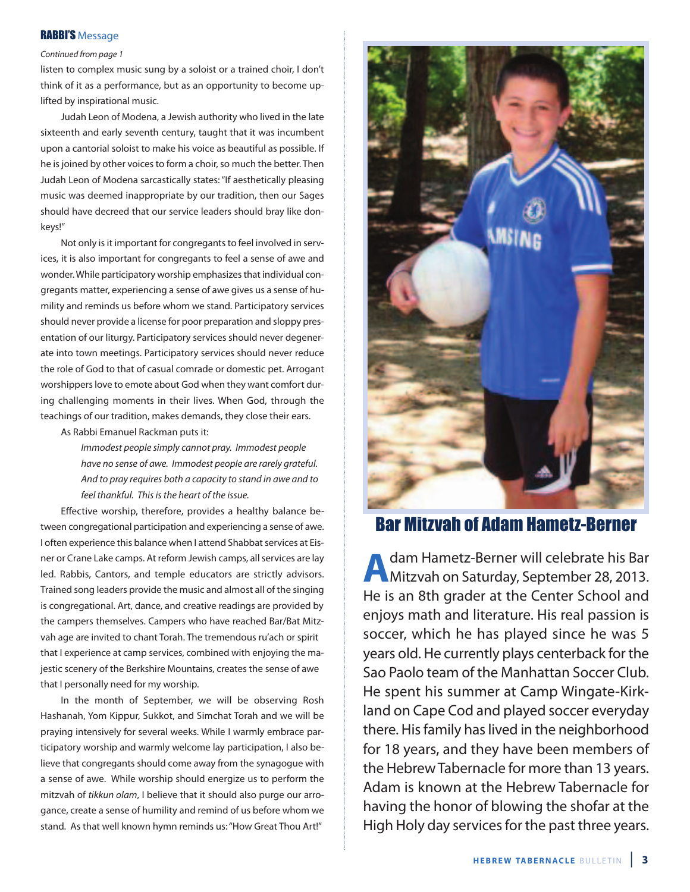### RABBI'S Message

#### Continued from page 1

listen to complex music sung by a soloist or a trained choir, I don't think of it as a performance, but as an opportunity to become uplifted by inspirational music.

Judah Leon of Modena, a Jewish authority who lived in the late sixteenth and early seventh century, taught that it was incumbent upon a cantorial soloist to make his voice as beautiful as possible. If he is joined by other voices to form a choir, so much the better. Then Judah Leon of Modena sarcastically states: "If aesthetically pleasing music was deemed inappropriate by our tradition, then our Sages should have decreed that our service leaders should bray like donkeys!"

Not only is it important for congregants to feel involved in services, it is also important for congregants to feel a sense of awe and wonder. While participatory worship emphasizes that individual congregants matter, experiencing a sense of awe gives us a sense of humility and reminds us before whom we stand. Participatory services should never provide a license for poor preparation and sloppy presentation of our liturgy. Participatory services should never degenerate into town meetings. Participatory services should never reduce the role of God to that of casual comrade or domestic pet. Arrogant worshippers love to emote about God when they want comfort during challenging moments in their lives. When God, through the teachings of our tradition, makes demands, they close their ears.

As Rabbi Emanuel Rackman puts it:

Immodest people simply cannot pray. Immodest people have no sense of awe. Immodest people are rarely grateful. And to pray requires both a capacity to stand in awe and to feel thankful. This is the heart of the issue.

Effective worship, therefore, provides a healthy balance between congregational participation and experiencing a sense of awe. I often experience this balance when I attend Shabbat services at Eisner or Crane Lake camps. At reform Jewish camps, all services are lay led. Rabbis, Cantors, and temple educators are strictly advisors. Trained song leaders provide the music and almost all of the singing is congregational. Art, dance, and creative readings are provided by the campers themselves. Campers who have reached Bar/Bat Mitzvah age are invited to chant Torah. The tremendous ru'ach or spirit that I experience at camp services, combined with enjoying the majestic scenery of the Berkshire Mountains, creates the sense of awe that I personally need for my worship.

In the month of September, we will be observing Rosh Hashanah, Yom Kippur, Sukkot, and Simchat Torah and we will be praying intensively for several weeks. While I warmly embrace participatory worship and warmly welcome lay participation, I also believe that congregants should come away from the synagogue with a sense of awe. While worship should energize us to perform the mitzvah of tikkun olam, I believe that it should also purge our arrogance, create a sense of humility and remind of us before whom we stand. As that well known hymn reminds us: "How Great Thou Art!"



Bar Mitzvah of Adam Hametz-Berner

**A** dam Hametz-Berner will celebrate his Bar<br>
Mitzvah on Saturday, September 28, 2013. He is an 8th grader at the Center School and enjoys math and literature. His real passion is soccer, which he has played since he was 5 years old. He currently plays centerback for the Sao Paolo team of the Manhattan Soccer Club. He spent his summer at Camp Wingate-Kirkland on Cape Cod and played soccer everyday there. His family has lived in the neighborhood for 18 years, and they have been members of the Hebrew Tabernacle for more than 13 years. Adam is known at the Hebrew Tabernacle for having the honor of blowing the shofar at the High Holy day services for the past three years.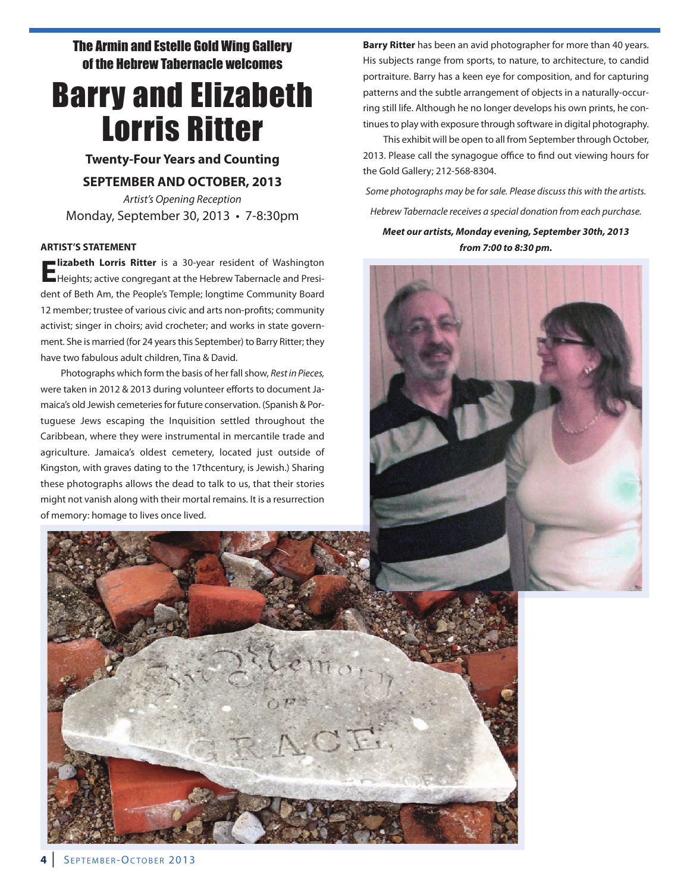The Armin and Estelle Gold Wing Gallery of the Hebrew Tabernacle welcomes

# Barry and Elizabeth Lorris Ritter

### **Twenty-Four Years and Counting**

### **SEPTEMBER AND OCTOBER, 2013**

Artist's Opening Reception Monday, September 30, 2013 • 7-8:30pm

### **ARTIST'S STATEMENT**

**Elizabeth Lorris Ritter** is a 30-year resident of Washington Heights; active congregant at the Hebrew Tabernacle and President of Beth Am, the People's Temple; longtime Community Board 12 member; trustee of various civic and arts non-profits; community activist; singer in choirs; avid crocheter; and works in state government. She is married (for 24 years this September) to Barry Ritter; they have two fabulous adult children, Tina & David.

Photographs which form the basis of her fall show, Rest in Pieces, were taken in 2012 & 2013 during volunteer efforts to document Jamaica's old Jewish cemeteries for future conservation. (Spanish & Portuguese Jews escaping the Inquisition settled throughout the Caribbean, where they were instrumental in mercantile trade and agriculture. Jamaica's oldest cemetery, located just outside of Kingston, with graves dating to the 17thcentury, is Jewish.) Sharing these photographs allows the dead to talk to us, that their stories might not vanish along with their mortal remains. It is a resurrection of memory: homage to lives once lived.

**Barry Ritter** has been an avid photographer for more than 40 years. His subjects range from sports, to nature, to architecture, to candid portraiture. Barry has a keen eye for composition, and for capturing patterns and the subtle arrangement of objects in a naturally-occurring still life. Although he no longer develops his own prints, he continues to play with exposure through software in digital photography.

This exhibit will be open to all from September through October, 2013. Please call the synagogue office to find out viewing hours for the Gold Gallery; 212-568-8304.

Some photographs may be for sale. Please discuss this with the artists. Hebrew Tabernacle receives a special donation from each purchase.

### *Meet our artists, Monday evening, September 30th, 2013 from 7:00 to 8:30 pm.*

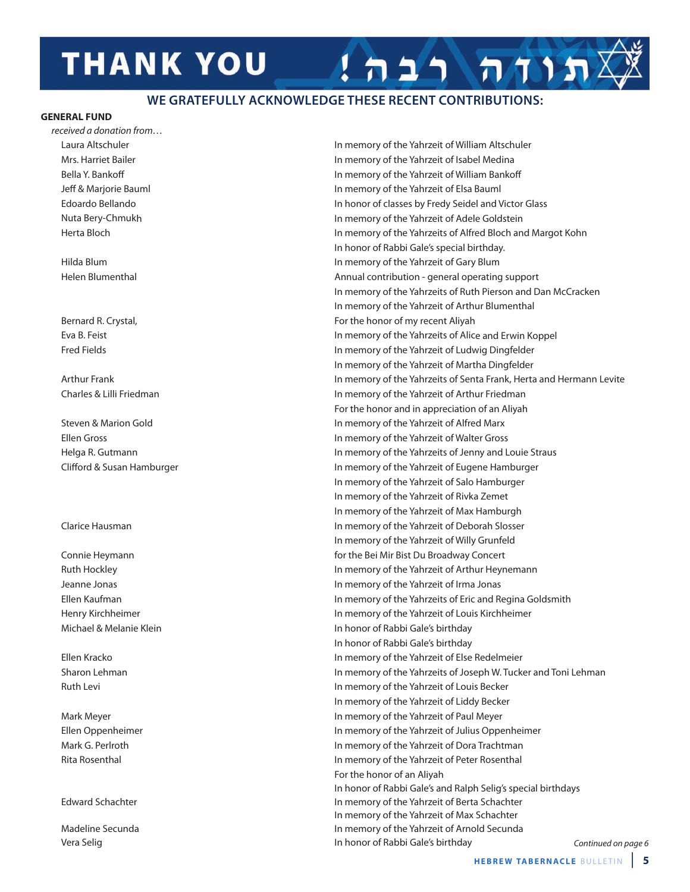# **THANK YOU**

### **WE GRATEFULLY ACKNOWLEDGE THESE RECENT CONTRIBUTIONS:**

### **GENERAL FUND**

received a donation from…

Vera Selig In honor of Rabbi Gale's birthday

Laura Altschuler In memory of the Yahrzeit of William Altschuler Mrs. Harriet Bailer **In the Inc.** The In memory of the Yahrzeit of Isabel Medina Bella Y. Bankoff **Example 20 In memory of the Yahrzeit of William Bankoff** Jeff & Marjorie Bauml **In memory of the Yahrzeit of Elsa Bauml** In memory of the Yahrzeit of Elsa Bauml Edoardo Bellando In honor of classes by Fredy Seidel and Victor Glass Nuta Bery-Chmukh In memory of the Yahrzeit of Adele Goldstein Herta Bloch In memory of the Yahrzeits of Alfred Bloch and Margot Kohn In honor of Rabbi Gale's special birthday. Hilda Blum In memory of the Yahrzeit of Gary Blum Helen Blumenthal Annual contribution - general operating support In memory of the Yahrzeits of Ruth Pierson and Dan McCracken In memory of the Yahrzeit of Arthur Blumenthal Bernard R. Crystal, For the honor of my recent Aliyah Eva B. Feist In memory of the Yahrzeits of Alice and Erwin Koppel Fred Fields In memory of the Yahrzeit of Ludwig Dingfelder In memory of the Yahrzeit of Martha Dingfelder Arthur Frank **In memory of the Yahrzeits of Senta Frank**, Herta and Hermann Levite Charles & Lilli Friedman In memory of the Yahrzeit of Arthur Friedman For the honor and in appreciation of an Aliyah Steven & Marion Gold In memory of the Yahrzeit of Alfred Marx Ellen Gross In memory of the Yahrzeit of Walter Gross Helga R. Gutmann **In memory of the Yahrzeits of Jenny and Louie Straus** Clifford & Susan Hamburger **In memory of the Yahrzeit of Eugene Hamburger** In memory of the Yahrzeit of Eugene Hamburger In memory of the Yahrzeit of Salo Hamburger In memory of the Yahrzeit of Rivka Zemet In memory of the Yahrzeit of Max Hamburgh Clarice Hausman In memory of the Yahrzeit of Deborah Slosser In memory of the Yahrzeit of Willy Grunfeld Connie Heymann for the Bei Mir Bist Du Broadway Concert Ruth Hockley **In memory of the Yahrzeit of Arthur Heynemann** Jeanne Jonas In memory of the Yahrzeit of Irma Jonas Ellen Kaufman In memory of the Yahrzeits of Eric and Regina Goldsmith Henry Kirchheimer In memory of the Yahrzeit of Louis Kirchheimer Michael & Melanie Klein In honor of Rabbi Gale's birthday In honor of Rabbi Gale's birthday Ellen Kracko In memory of the Yahrzeit of Else Redelmeier Sharon Lehman **In memory of the Yahrzeits of Joseph W. Tucker and Toni Lehman** Ruth Levi In memory of the Yahrzeit of Louis Becker In memory of the Yahrzeit of Liddy Becker Mark Meyer **In memory of the Yahrzeit of Paul Meyer** In memory of the Yahrzeit of Paul Meyer Ellen Oppenheimer In memory of the Yahrzeit of Julius Oppenheimer Mark G. Perlroth In memory of the Yahrzeit of Dora Trachtman Rita Rosenthal In memory of the Yahrzeit of Peter Rosenthal For the honor of an Aliyah In honor of Rabbi Gale's and Ralph Selig's special birthdays Edward Schachter In memory of the Yahrzeit of Berta Schachter In memory of the Yahrzeit of Max Schachter Madeline Secunda **In memory of the Yahrzeit of Arnold Secunda** In memory of the Yahrzeit of Arnold Secunda

תוחה רבה!

Continued on page 6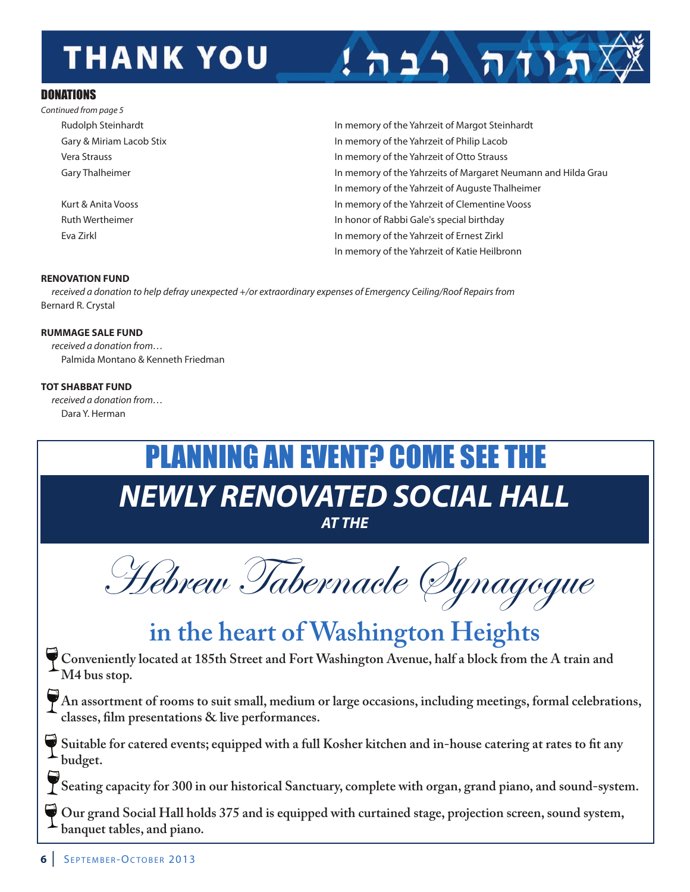# **THANK YOU**

### **DONATIONS**

Continued from page 5

Rudolph Steinhardt In memory of the Yahrzeit of Margot Steinhardt Gary & Miriam Lacob Stix In memory of the Yahrzeit of Philip Lacob Vera Strauss In memory of the Yahrzeit of Otto Strauss Gary Thalheimer **In memory of the Yahrzeits of Margaret Neumann and Hilda Grau** In memory of the Yahrzeit of Auguste Thalheimer Kurt & Anita Vooss In memory of the Yahrzeit of Clementine Vooss Ruth Wertheimer **In honor of Rabbi Gale's special birthday** In honor of Rabbi Gale's special birthday Eva Zirkl In memory of the Yahrzeit of Ernest Zirkl In memory of the Yahrzeit of Katie Heilbronn

נותה רבה!

### **RENOVATION FUND**

received a donation to help defray unexpected +/or extraordinary expenses of Emergency Ceiling/Roof Repairs from Bernard R. Crystal

### **RUMMAGE SALE FUND**

received a donation from… Palmida Montano & Kenneth Friedman

### **TOT SHABBAT FUND**

received a donation from… Dara Y. Herman

### *NEWLY RENOVATED SOCIAL HALL AT THE* **PLANNING AN EVENT? COME SEE THE**

Hebrew Tabernacle Synagogue

# **in the heart of Washington Heights**

Conveniently located at 185th Street and Fort Washington Avenue, half a block from the A train and **M4 bus stop.**

An assortment of rooms to suit small, medium or large occasions, including meetings, formal celebrations, **classes, film presentations & live performances.**

Suitable for catered events; equipped with a full Kosher kitchen and in-house catering at rates to fit any **budget.**

 $\blacktriangledown$  Seating capacity for 300 in our historical Sanctuary, complete with organ, grand piano, and sound-system.

**Our grand Social Hall holds 375 and is equipped with curtained stage, projection screen, sound system, banquet tables, and piano.**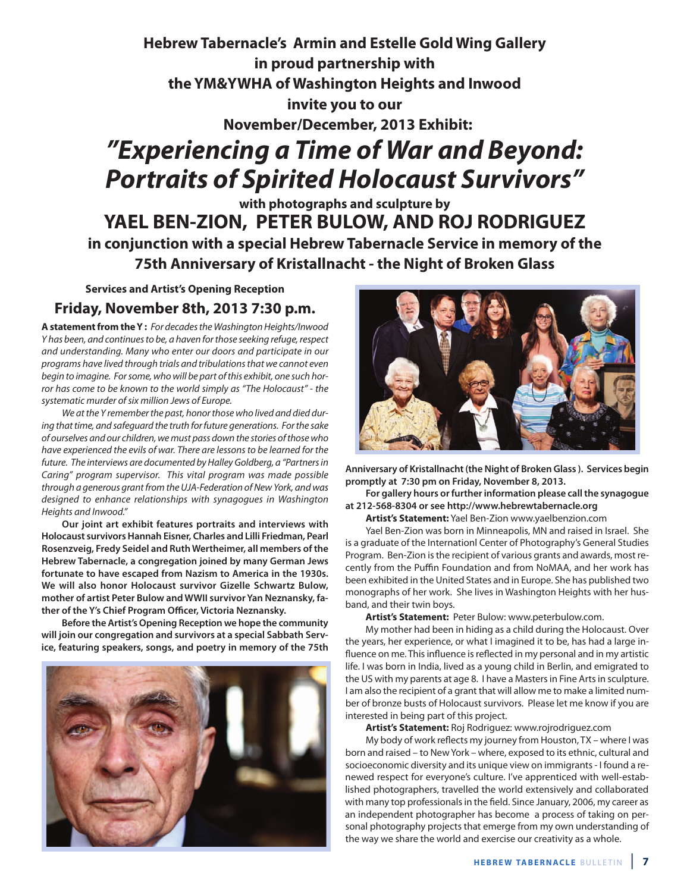### **Hebrew Tabernacle's Armin and Estelle Gold Wing Gallery in proud partnership with the YM&YWHA of Washington Heights and Inwood invite you to our November/December, 2013 Exhibit:**

## *"Experiencing a Time of War and Beyond: Portraits of Spirited Holocaust Survivors"*

**with photographs and sculpture by YAEL BEN-ZION, PETER BULOW, AND ROJ RODRIGUEZ in conjunction with a special Hebrew Tabernacle Service in memory of the 75th Anniversary of Kristallnacht - the Night of Broken Glass**

**Services and Artist's Opening Reception Friday, November 8th, 2013 7:30 p.m.**

**A statement from the Y :** For decades the Washington Heights/Inwood Y has been, and continues to be, a haven for those seeking refuge, respect and understanding. Many who enter our doors and participate in our programs have lived through trials and tribulations that we cannot even begin to imagine. For some, who will be part of this exhibit, one such horror has come to be known to the world simply as "The Holocaust" - the systematic murder of six million Jews of Europe.

We at the Y remember the past, honor those who lived and died during that time, and safeguard the truth for future generations. For the sake of ourselves and our children, we must pass down the stories of those who have experienced the evils of war. There are lessons to be learned for the future. The interviews are documented by Halley Goldberg, a "Partners in Caring" program supervisor. This vital program was made possible through a generous grant from the UJA-Federation of New York, and was designed to enhance relationships with synagogues in Washington Heights and Inwood."

**Our joint art exhibit features portraits and interviews with Holocaust survivors Hannah Eisner, Charles and Lilli Friedman, Pearl Rosenzveig, Fredy Seidel and Ruth Wertheimer, all members of the Hebrew Tabernacle, a congregation joined by many German Jews fortunate to have escaped from Nazism to America in the 1930s. We will also honor Holocaust survivor Gizelle Schwartz Bulow, mother of artist Peter Bulow and WWII survivor Yan Neznansky, fa**ther of the Y's Chief Program Officer, Victoria Neznansky.

**Before the Artist's Opening Reception we hope the community will join our congregation and survivors at a special Sabbath Service, featuring speakers, songs, and poetry in memory of the 75th**





**Anniversary of Kristallnacht (the Night of Broken Glass ). Services begin promptly at 7:30 pm on Friday, November 8, 2013.**

**For gallery hours or further information please call the synagogue at 212-568-8304 or see http://www.hebrewtabernacle.org**

**Artist's Statement:** Yael Ben-Zion www.yaelbenzion.com

Yael Ben-Zion was born in Minneapolis, MN and raised in Israel. She is a graduate of the Internationl Center of Photography's General Studies Program. Ben-Zion is the recipient of various grants and awards, most recently from the Puffin Foundation and from NoMAA, and her work has been exhibited in the United States and in Europe. She has published two monographs of her work. She lives in Washington Heights with her husband, and their twin boys.

**Artist's Statement:** Peter Bulow: www.peterbulow.com.

My mother had been in hiding as a child during the Holocaust. Over the years, her experience, or what I imagined it to be, has had a large influence on me. This influence is reflected in my personal and in my artistic life. I was born in India, lived as a young child in Berlin, and emigrated to the US with my parents at age 8. I have a Masters in Fine Arts in sculpture. I am also the recipient of a grant that will allow me to make a limited number of bronze busts of Holocaust survivors. Please let me know if you are interested in being part of this project.

**Artist's Statement:** Roj Rodriguez: www.rojrodriguez.com

My body of work reflects my journey from Houston, TX – where I was born and raised – to New York – where, exposed to its ethnic, cultural and socioeconomic diversity and its unique view on immigrants - I found a renewed respect for everyone's culture. I've apprenticed with well-established photographers, travelled the world extensively and collaborated with many top professionals in the field. Since January, 2006, my career as an independent photographer has become a process of taking on personal photography projects that emerge from my own understanding of the way we share the world and exercise our creativity as a whole.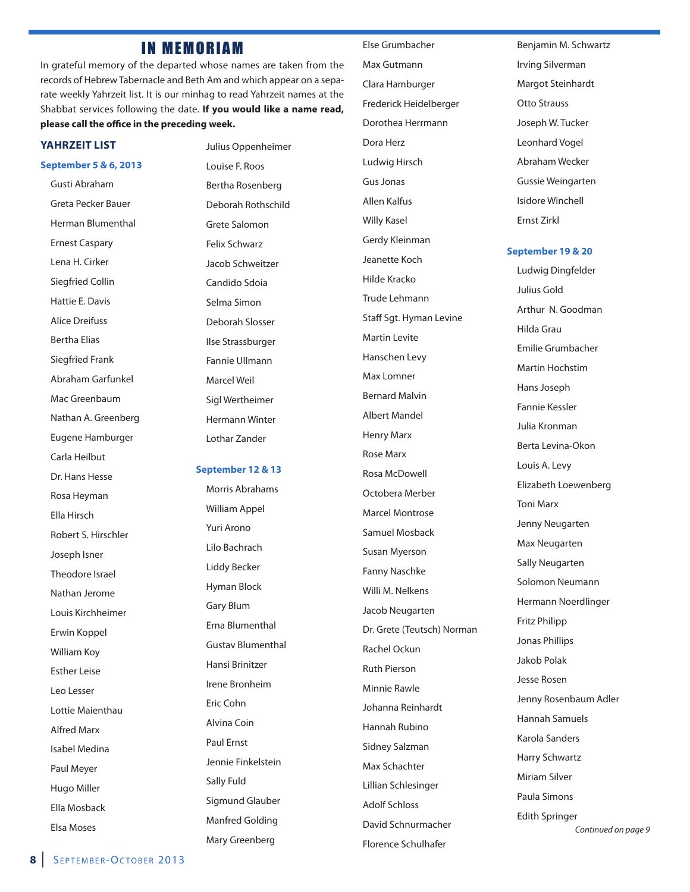### **IN MEMORIAM**

In grateful memory of the departed whose names are taken from the records of Hebrew Tabernacle and Beth Am and which appear on a separate weekly Yahrzeit list. It is our minhag to read Yahrzeit names at the Shabbat services following the date. **If you would like a name read,** please call the office in the preceding week.

### **YAHRZEIT LIST**

### **September 5 & 6, 2013**

Gusti Abraham Greta Pecker Bauer Herman Blumenthal Ernest Caspary Lena H. Cirker Siegfried Collin Hattie E. Davis Alice Dreifuss Bertha Elias Siegfried Frank Abraham Garfunkel Mac Greenbaum Nathan A. Greenberg Eugene Hamburger Carla Heilbut Dr. Hans Hesse Rosa Heyman Ella Hirsch Robert S. Hirschler Joseph Isner Theodore Israel Nathan Jerome Louis Kirchheimer Erwin Koppel William Koy Esther Leise Leo Lesser Lottie Maienthau Alfred Marx Isabel Medina Paul Meyer Hugo Miller Ella Mosback Elsa Moses

Julius Oppenheimer Louise F. Roos Bertha Rosenberg Deborah Rothschild Grete Salomon Felix Schwarz Jacob Schweitzer Candido Sdoia Selma Simon Deborah Slosser Ilse Strassburger Fannie Ullmann Marcel Weil Sigl Wertheimer Hermann Winter Lothar Zander

### **September 12 & 13**

Morris Abrahams William Appel Yuri Arono Lilo Bachrach Liddy Becker Hyman Block Gary Blum Erna Blumenthal Gustav Blumenthal Hansi Brinitzer Irene Bronheim Eric Cohn Alvina Coin Paul Ernst Jennie Finkelstein Sally Fuld Sigmund Glauber Manfred Golding Mary Greenberg

Else Grumbacher Max Gutmann Clara Hamburger Frederick Heidelberger Dorothea Herrmann Dora Herz Ludwig Hirsch Gus Jonas Allen Kalfus Willy Kasel Gerdy Kleinman Jeanette Koch Hilde Kracko Trude Lehmann Staff Sgt. Hyman Levine Martin Levite Hanschen Levy Max Lomner Bernard Malvin Albert Mandel Henry Marx Rose Marx Rosa McDowell Octobera Merber Marcel Montrose Samuel Mosback Susan Myerson Fanny Naschke Willi M. Nelkens Jacob Neugarten Dr. Grete (Teutsch) Norman Rachel Ockun Ruth Pierson Minnie Rawle Johanna Reinhardt Hannah Rubino Sidney Salzman Max Schachter Lillian Schlesinger Adolf Schloss David Schnurmacher Florence Schulhafer

Benjamin M. Schwartz Irving Silverman Margot Steinhardt Otto Strauss Joseph W. Tucker Leonhard Vogel Abraham Wecker Gussie Weingarten Isidore Winchell Ernst Zirkl

### **September 19 & 20**

Ludwig Dingfelder Julius Gold Arthur N. Goodman Hilda Grau Emilie Grumbacher Martin Hochstim Hans Joseph Fannie Kessler Julia Kronman Berta Levina-Okon Louis A. Levy Elizabeth Loewenberg Toni Marx Jenny Neugarten Max Neugarten Sally Neugarten Solomon Neumann Hermann Noerdlinger Fritz Philipp Jonas Phillips Jakob Polak Jesse Rosen Jenny Rosenbaum Adler Hannah Samuels Karola Sanders Harry Schwartz Miriam Silver Paula Simons Edith Springer

Continued on page 9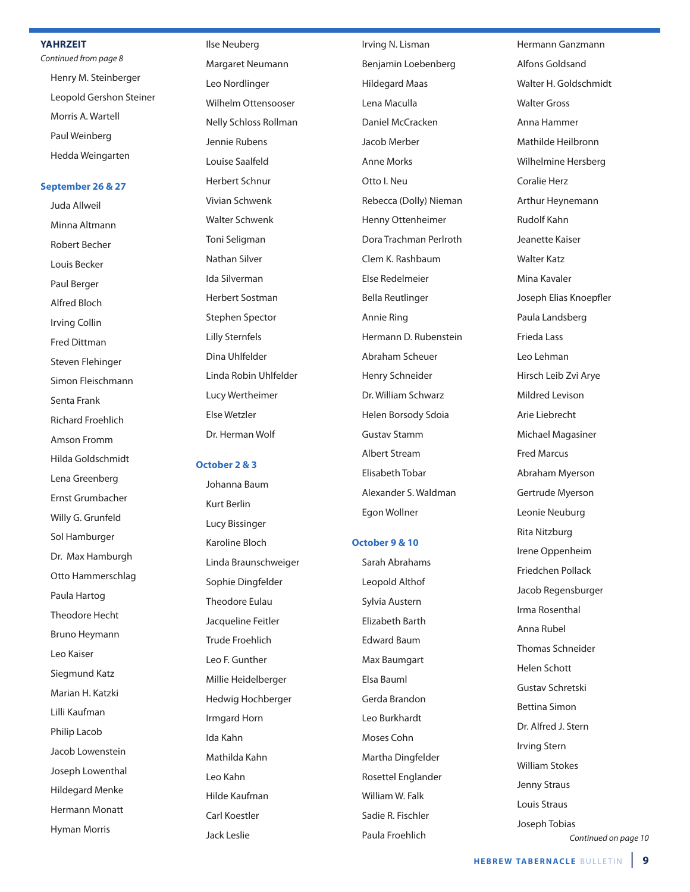#### **YAHRZEIT**

Continued from page 8 Henry M. Steinberger Leopold Gershon Steiner Morris A. Wartell Paul Weinberg Hedda Weingarten

### **September 26 & 27** Juda Allweil

Minna Altmann Robert Becher Louis Becker Paul Berger Alfred Bloch Irving Collin Fred Dittman Steven Flehinger Simon Fleischmann Senta Frank Richard Froehlich Amson Fromm Hilda Goldschmidt Lena Greenberg Ernst Grumbacher Willy G. Grunfeld Sol Hamburger Dr. Max Hamburgh Otto Hammerschlag Paula Hartog Theodore Hecht Bruno Heymann Leo Kaiser Siegmund Katz Marian H. Katzki Lilli Kaufman Philip Lacob Jacob Lowenstein Joseph Lowenthal Hildegard Menke Hermann Monatt Hyman Morris

Ilse Neuberg Margaret Neumann Leo Nordlinger Wilhelm Ottensooser Nelly Schloss Rollman Jennie Rubens Louise Saalfeld Herbert Schnur Vivian Schwenk Walter Schwenk Toni Seligman Nathan Silver Ida Silverman Herbert Sostman Stephen Spector Lilly Sternfels Dina Uhlfelder Linda Robin Uhlfelder Lucy Wertheimer Else Wetzler Dr. Herman Wolf

### **October 2 & 3**

Johanna Baum Kurt Berlin Lucy Bissinger Karoline Bloch Linda Braunschweiger Sophie Dingfelder Theodore Eulau Jacqueline Feitler Trude Froehlich Leo F. Gunther Millie Heidelberger Hedwig Hochberger Irmgard Horn Ida Kahn Mathilda Kahn Leo Kahn Hilde Kaufman Carl Koestler Jack Leslie

Irving N. Lisman Benjamin Loebenberg Hildegard Maas Lena Maculla Daniel McCracken Jacob Merber Anne Morks Otto I. Neu Rebecca (Dolly) Nieman Henny Ottenheimer Dora Trachman Perlroth Clem K. Rashbaum Else Redelmeier Bella Reutlinger Annie Ring Hermann D. Rubenstein Abraham Scheuer Henry Schneider Dr. William Schwarz Helen Borsody Sdoia Gustav Stamm Albert Stream Elisabeth Tobar Alexander S. Waldman Egon Wollner

### **October 9 & 10**

Sarah Abrahams Leopold Althof Sylvia Austern Elizabeth Barth Edward Baum Max Baumgart Elsa Bauml Gerda Brandon Leo Burkhardt Moses Cohn Martha Dingfelder Rosettel Englander William W. Falk Sadie R. Fischler Paula Froehlich

Hermann Ganzmann Alfons Goldsand Walter H. Goldschmidt Walter Gross Anna Hammer Mathilde Heilbronn Wilhelmine Hersberg Coralie Herz Arthur Heynemann Rudolf Kahn Jeanette Kaiser Walter Katz Mina Kavaler Joseph Elias Knoepfler Paula Landsberg Frieda Lass Leo Lehman Hirsch Leib Zvi Arye Mildred Levison Arie Liebrecht Michael Magasiner Fred Marcus Abraham Myerson Gertrude Myerson Leonie Neuburg Rita Nitzburg Irene Oppenheim Friedchen Pollack Jacob Regensburger Irma Rosenthal Anna Rubel Thomas Schneider Helen Schott Gustav Schretski Bettina Simon Dr. Alfred J. Stern Irving Stern William Stokes Jenny Straus Louis Straus Joseph Tobias

Continued on page 10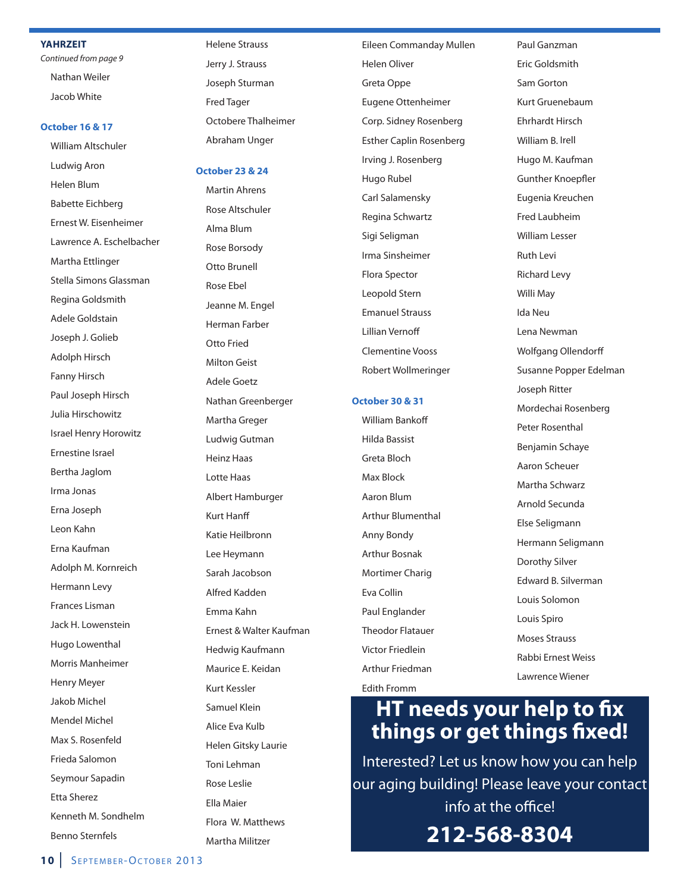### **YAHRZEIT**

Continued from page 9

Nathan Weiler Jacob White

#### **October 16 & 17**

William Altschuler Ludwig Aron Helen Blum Babette Eichberg Ernest W. Eisenheimer Lawrence A. Eschelbacher Martha Ettlinger Stella Simons Glassman Regina Goldsmith Adele Goldstain Joseph J. Golieb Adolph Hirsch Fanny Hirsch Paul Joseph Hirsch Julia Hirschowitz Israel Henry Horowitz Ernestine Israel Bertha Jaglom Irma Jonas Erna Joseph Leon Kahn Erna Kaufman Adolph M. Kornreich Hermann Levy Frances Lisman Jack H. Lowenstein Hugo Lowenthal Morris Manheimer Henry Meyer Jakob Michel Mendel Michel Max S. Rosenfeld Frieda Salomon Seymour Sapadin Etta Sherez Kenneth M. Sondhelm Benno Sternfels

Helene Strauss Jerry J. Strauss Joseph Sturman Fred Tager Octobere Thalheimer Abraham Unger

#### **October 23 & 24**

Martin Ahrens Rose Altschuler Alma Blum Rose Borsody Otto Brunell Rose Ebel Jeanne M. Engel Herman Farber Otto Fried Milton Geist Adele Goetz Nathan Greenberger Martha Greger Ludwig Gutman Heinz Haas Lotte Haas Albert Hamburger **Kurt Hanff** Katie Heilbronn Lee Heymann Sarah Jacobson Alfred Kadden Emma Kahn Ernest & Walter Kaufman Hedwig Kaufmann Maurice E. Keidan Kurt Kessler Samuel Klein Alice Eva Kulb Helen Gitsky Laurie Toni Lehman Rose Leslie Ella Maier Flora W. Matthews Martha Militzer

Eileen Commanday Mullen Helen Oliver Greta Oppe Eugene Ottenheimer Corp. Sidney Rosenberg Esther Caplin Rosenberg Irving J. Rosenberg Hugo Rubel Carl Salamensky Regina Schwartz Sigi Seligman Irma Sinsheimer Flora Spector Leopold Stern Emanuel Strauss **Lillian Vernoff** Clementine Vooss Robert Wollmeringer

### **October 30 & 31**

William Bankoff Hilda Bassist Greta Bloch Max Block Aaron Blum Arthur Blumenthal Anny Bondy Arthur Bosnak Mortimer Charig Eva Collin Paul Englander Theodor Flatauer Victor Friedlein Arthur Friedman Edith Fromm

Paul Ganzman Eric Goldsmith Sam Gorton Kurt Gruenebaum Ehrhardt Hirsch William B. Irell Hugo M. Kaufman Gunther Knoepfler Eugenia Kreuchen Fred Laubheim William Lesser Ruth Levi Richard Levy Willi May Ida Neu Lena Newman Wolfgang Ollendorff Susanne Popper Edelman Joseph Ritter Mordechai Rosenberg Peter Rosenthal Benjamin Schaye Aaron Scheuer Martha Schwarz Arnold Secunda Else Seligmann Hermann Seligmann Dorothy Silver Edward B. Silverman Louis Solomon Louis Spiro Moses Strauss Rabbi Ernest Weiss Lawrence Wiener

### **HT needs your help to fix things or get things fixed!**

Interested? Let us know how you can help our aging building! Please leave your contact info at the office!

**212-568-8304**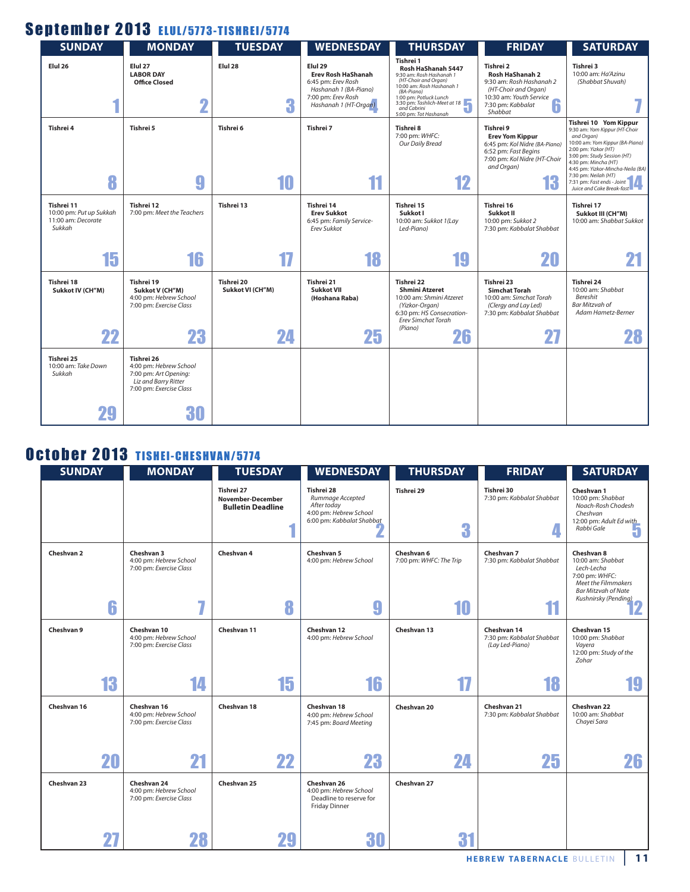### September 2013 ELUL/5773-TISHREI/5774

| <b>SUNDAY</b>                                                         | <b>MONDAY</b>                                                                                                    | <b>TUESDAY</b>                 | <b>WEDNESDAY</b>                                                                                                                   | <b>THURSDAY</b>                                                                                                                                                                                                                  | <b>FRIDAY</b>                                                                                                                                           | <b>SATURDAY</b>                                                                                                                                                                                                                                                                                                |
|-----------------------------------------------------------------------|------------------------------------------------------------------------------------------------------------------|--------------------------------|------------------------------------------------------------------------------------------------------------------------------------|----------------------------------------------------------------------------------------------------------------------------------------------------------------------------------------------------------------------------------|---------------------------------------------------------------------------------------------------------------------------------------------------------|----------------------------------------------------------------------------------------------------------------------------------------------------------------------------------------------------------------------------------------------------------------------------------------------------------------|
| Elul 26                                                               | Elul 27<br><b>LABOR DAY</b><br><b>Office Closed</b><br>Ω                                                         | Elul <sub>28</sub><br>m<br>n.  | Elul 29<br><b>Erev Rosh HaShanah</b><br>6:45 pm: Erev Rosh<br>Hashanah 1 (BA-Piano)<br>7:00 pm: Erev Rosh<br>Hashanah 1 (HT-Organ) | Tishrei 1<br>Rosh HaShanah 5447<br>9:30 am: Rosh Hashanah 1<br>(HT-Choir and Organ)<br>10:00 am: Rosh Hashanah 1<br>(BA-Piano)<br>1:00 pm: Potluck Lunch<br>3:30 pm: Tashlich-Meet at 18<br>and Cabrini<br>5:00 pm: Tot Hashanah | Tishrei 2<br><b>Rosh HaShanah 2</b><br>9:30 am: Rosh Hashanah 2<br>(HT-Choir and Organ)<br>10:30 am: Youth Service<br>6<br>7:30 pm: Kabbalat<br>Shabbat | Tishrei 3<br>10:00 am: Ha'Azinu<br>(Shabbat Shuvah)                                                                                                                                                                                                                                                            |
| Tishrei 4<br>8                                                        | Tishrei 5<br>g                                                                                                   | Tishrei 6<br>10                | Tishrei 7                                                                                                                          | Tishrei 8<br>7:00 pm: WHFC:<br>Our Daily Bread<br>12                                                                                                                                                                             | Tishrei 9<br><b>Erev Yom Kippur</b><br>6:45 pm: Kol Nidre (BA-Piano)<br>6:52 pm: Fast Begins<br>7:00 pm: Kol Nidre (HT-Choir<br>and Organ)<br>13        | Tishrei 10 Yom Kippur<br>9:30 am: Yom Kippur (HT-Choir<br>and Organ)<br>10:00 am: Yom Kippur (BA-Piano)<br>2:00 pm: Yizkor (HT)<br>3:00 pm: Study Session (HT)<br>4:30 pm: Mincha (HT)<br>4:45 pm: Yizkor-Mincha-Neila (BA)<br>7:30 pm: Neilah (HT)<br>7:31 pm: Fast ends - Joint<br>Juice and Cake Break-fast |
| Tishrei 11<br>10:00 pm: Put up Sukkah<br>11:00 am: Decorate<br>Sukkah | Tishrei 12<br>7:00 pm: Meet the Teachers                                                                         | Tishrei 13                     | Tishrei 14<br><b>Erev Sukkot</b><br>6:45 pm: Family Service-<br>Erev Sukkot                                                        | Tishrei 15<br>Sukkot I<br>10:00 am: Sukkot 1(Lay<br>Led-Piano)                                                                                                                                                                   | Tishrei 16<br>Sukkot II<br>10:00 pm: Sukkot 2<br>7:30 pm: Kabbalat Shabbat                                                                              | Tishrei 17<br>Sukkot III (CH"M)<br>10:00 am: Shabbat Sukkot                                                                                                                                                                                                                                                    |
| 15                                                                    | 16                                                                                                               | 17                             | 18                                                                                                                                 | 19                                                                                                                                                                                                                               | 20                                                                                                                                                      |                                                                                                                                                                                                                                                                                                                |
| Tishrei 18<br>Sukkot IV (CH"M)                                        | Tishrei 19<br>Sukkot V (CH"M)<br>4:00 pm: Hebrew School<br>7:00 pm: Exercise Class                               | Tishrei 20<br>Sukkot VI (CH"M) | Tishrei 21<br><b>Sukkot VII</b><br>(Hoshana Raba)                                                                                  | Tishrei 22<br><b>Shmini Atzeret</b><br>10:00 am: Shmini Atzeret<br>(Yizkor-Organ)<br>6:30 pm: HS Consecration-<br><b>Erev Simchat Torah</b>                                                                                      | Tishrei 23<br><b>Simchat Torah</b><br>10:00 am: Simchat Torah<br>(Clergy and Lay Led)<br>7:30 pm: Kabbalat Shabbat                                      | Tishrei 24<br>10:00 am: Shabbat<br><b>Bereshit</b><br><b>Bar Mitzvah of</b><br>Adam Hametz-Berner                                                                                                                                                                                                              |
| 22                                                                    | 23                                                                                                               | 24                             | 25                                                                                                                                 | (Piano)<br>26                                                                                                                                                                                                                    | 27                                                                                                                                                      | 28                                                                                                                                                                                                                                                                                                             |
| Tishrei 25<br>10:00 am: Take Down<br>Sukkah                           | Tishrei 26<br>4:00 pm: Hebrew School<br>7:00 pm: Art Opening:<br>Liz and Barry Ritter<br>7:00 pm: Exercise Class |                                |                                                                                                                                    |                                                                                                                                                                                                                                  |                                                                                                                                                         |                                                                                                                                                                                                                                                                                                                |
| 29                                                                    | 30                                                                                                               |                                |                                                                                                                                    |                                                                                                                                                                                                                                  |                                                                                                                                                         |                                                                                                                                                                                                                                                                                                                |

### October 2013 TISHEI-CHESHVAN/5774

| <b>SUNDAY</b> |    | <b>MONDAY</b>                                                        | <b>TUESDAY</b>                                              | <b>WEDNESDAY</b>                                                                                     | <b>THURSDAY</b>                             | <b>FRIDAY</b>                                               | <b>SATURDAY</b>                                                                                                                              |
|---------------|----|----------------------------------------------------------------------|-------------------------------------------------------------|------------------------------------------------------------------------------------------------------|---------------------------------------------|-------------------------------------------------------------|----------------------------------------------------------------------------------------------------------------------------------------------|
|               |    |                                                                      | Tishrei 27<br>November-December<br><b>Bulletin Deadline</b> | Tishrei 28<br>Rummage Accepted<br>After today<br>4:00 pm: Hebrew School<br>6:00 pm: Kabbalat Shabbat | Tishrei 29<br>3                             | Tishrei 30<br>7:30 pm: Kabbalat Shabbat                     | Cheshvan 1<br>10:00 pm: Shabbat<br>Noach-Rosh Chodesh<br>Cheshvan<br>12:00 pm: Adult Ed with<br>Rabbi Gale<br>П                              |
| Cheshvan 2    | 6  | Cheshvan 3<br>4:00 pm: Hebrew School<br>7:00 pm: Exercise Class<br>7 | Cheshvan 4<br>8                                             | Cheshvan 5<br>4:00 pm: Hebrew School<br>9                                                            | Cheshvan 6<br>7:00 pm: WHFC: The Trip<br>10 | Cheshvan 7<br>7:30 pm: Kabbalat Shabbat<br>H.               | Cheshvan 8<br>10:00 am: Shabbat<br>Lech-Lecha<br>7:00 pm: WHFC:<br>Meet the Filmmakers<br><b>Bar Mitzvah of Nate</b><br>Kushnirsky (Pending) |
| Cheshvan 9    |    | Cheshvan 10<br>4:00 pm: Hebrew School<br>7:00 pm: Exercise Class     | Cheshvan 11                                                 | Cheshvan 12<br>4:00 pm: Hebrew School                                                                | Cheshvan 13                                 | Cheshvan 14<br>7:30 pm: Kabbalat Shabbat<br>(Lay Led-Piano) | Cheshvan 15<br>10:00 pm: Shabbat<br>Vayera<br>12:00 pm: Study of the<br>Zohar                                                                |
|               | 13 | 14                                                                   | 15                                                          | 16                                                                                                   | 17                                          | 18                                                          | 19                                                                                                                                           |
| Cheshvan 16   |    | Cheshvan 16<br>4:00 pm: Hebrew School<br>7:00 pm: Exercise Class     | Cheshvan 18                                                 | Cheshvan 18<br>4:00 pm: Hebrew School<br>7:45 pm: Board Meeting                                      | Cheshvan 20                                 | Cheshvan 21<br>7:30 pm: Kabbalat Shabbat                    | Cheshvan 22<br>10:00 am: Shabbat<br>Chayei Sara                                                                                              |
|               | 20 | 21                                                                   | 22                                                          | 23                                                                                                   | 24                                          | 25                                                          | 26                                                                                                                                           |
| Cheshvan 23   |    | Cheshvan 24<br>4:00 pm: Hebrew School<br>7:00 pm: Exercise Class     | Cheshvan 25                                                 | Cheshvan 26<br>4:00 pm: Hebrew School<br>Deadline to reserve for<br><b>Friday Dinner</b>             | Cheshvan 27                                 |                                                             |                                                                                                                                              |
|               | o  | 28                                                                   |                                                             | 30                                                                                                   | 3                                           |                                                             |                                                                                                                                              |